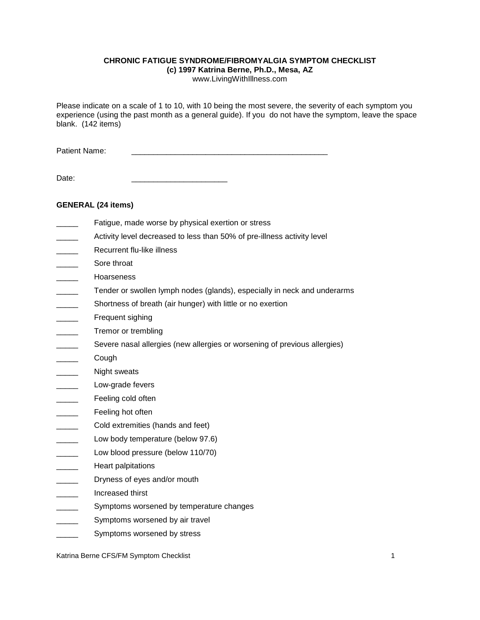### **CHRONIC FATIGUE SYNDROME/FIBROMYALGIA SYMPTOM CHECKLIST**

**(c) 1997 Katrina Berne, Ph.D., Mesa, AZ**

www.LivingWithIllness.com

Please indicate on a scale of 1 to 10, with 10 being the most severe, the severity of each symptom you experience (using the past month as a general guide). If you do not have the symptom, leave the space blank. (142 items)

Patient Name:

Date:

# **GENERAL (24 items)**

- Fatigue, made worse by physical exertion or stress
- Activity level decreased to less than 50% of pre-illness activity level
- Recurrent flu-like illness
- Sore throat
- \_\_\_\_\_ Hoarseness
- Tender or swollen lymph nodes (glands), especially in neck and underarms
- Shortness of breath (air hunger) with little or no exertion
- Frequent sighing
- Tremor or trembling
- Severe nasal allergies (new allergies or worsening of previous allergies)
- \_\_\_\_\_ Cough
- Night sweats
- Low-grade fevers
- Feeling cold often
- Feeling hot often
- Cold extremities (hands and feet)
- Low body temperature (below 97.6)
- Low blood pressure (below 110/70)
- Heart palpitations
- Dryness of eyes and/or mouth
- \_\_\_\_\_ Increased thirst
- Symptoms worsened by temperature changes
- Symptoms worsened by air travel
- Symptoms worsened by stress

Katrina Berne CFS/FM Symptom Checklist 1 1 1 1 2 2 3 4 4 5 6 7 7 7 7 7 7 7 7 7 7 7 7 7 7 7 8 7 7 7 7 7 8 7 7 7 1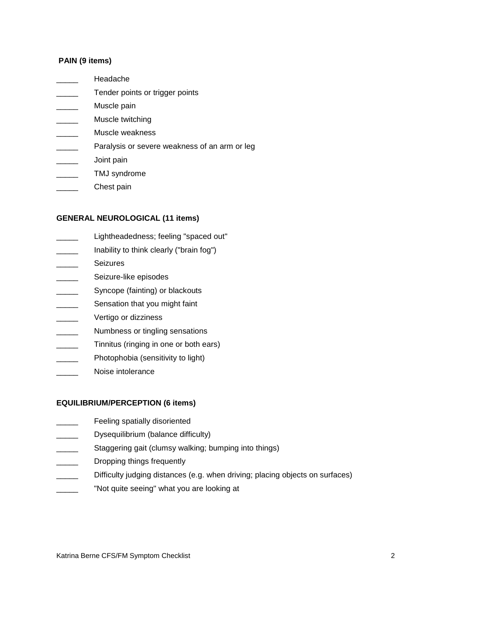## **PAIN (9 items)**

- \_\_\_\_\_ Headache
- Tender points or trigger points
- Muscle pain
- \_\_\_\_\_ Muscle twitching
- Muscle weakness
- Paralysis or severe weakness of an arm or leg
- \_\_\_\_\_ Joint pain
- \_\_\_\_\_ TMJ syndrome
- Chest pain

### **GENERAL NEUROLOGICAL (11 items)**

- \_\_\_\_\_ Lightheadedness; feeling "spaced out"
- Inability to think clearly ("brain fog")
- **Seizures**
- Seizure-like episodes
- Syncope (fainting) or blackouts
- Sensation that you might faint
- \_\_\_\_\_\_\_ Vertigo or dizziness
- Numbness or tingling sensations
- Tinnitus (ringing in one or both ears)
- Photophobia (sensitivity to light)
- Noise intolerance

#### **EQUILIBRIUM/PERCEPTION (6 items)**

- **Example 3** Feeling spatially disoriented
- **Example 3** Dysequilibrium (balance difficulty)
- Staggering gait (clumsy walking; bumping into things)
- Dropping things frequently
- Difficulty judging distances (e.g. when driving; placing objects on surfaces)
- "Not quite seeing" what you are looking at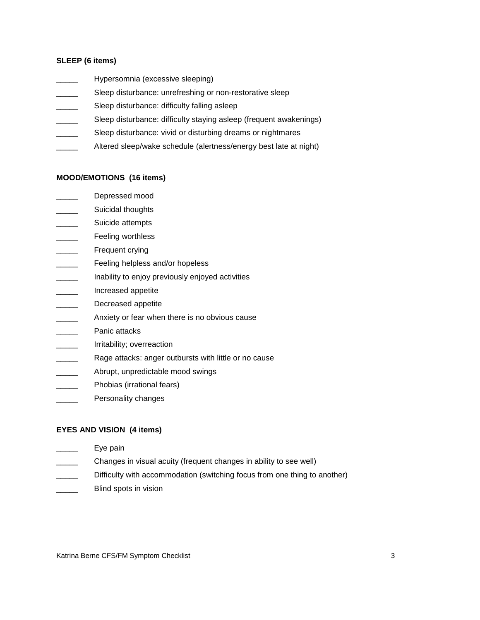## **SLEEP (6 items)**

- Hypersomnia (excessive sleeping)
- Sleep disturbance: unrefreshing or non-restorative sleep
- Sleep disturbance: difficulty falling asleep
- Sleep disturbance: difficulty staying asleep (frequent awakenings)
- Sleep disturbance: vivid or disturbing dreams or nightmares
- Altered sleep/wake schedule (alertness/energy best late at night)

#### **MOOD/EMOTIONS (16 items)**

- Depressed mood
- **\_\_\_\_\_\_** Suicidal thoughts
- Suicide attempts
- **EXALGE THE FEELING WORKINGS**
- Frequent crying
- Feeling helpless and/or hopeless
- Inability to enjoy previously enjoyed activities
- \_\_\_\_\_ Increased appetite
- Decreased appetite
- **EXECUTE:** Anxiety or fear when there is no obvious cause
- Panic attacks
- Irritability; overreaction
- **EXECUTE:** Rage attacks: anger outbursts with little or no cause
- Abrupt, unpredictable mood swings
- Phobias (irrational fears)
- Personality changes

### **EYES AND VISION (4 items)**

- Eye pain
- Changes in visual acuity (frequent changes in ability to see well)
- Difficulty with accommodation (switching focus from one thing to another)
- Blind spots in vision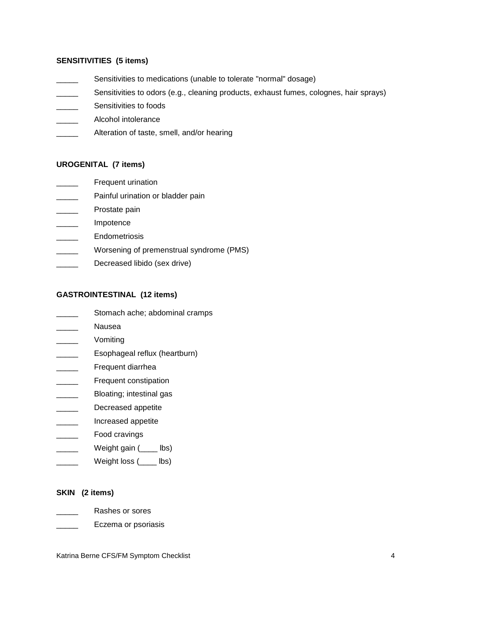## **SENSITIVITIES (5 items)**

- **EXECUTE:** Sensitivities to medications (unable to tolerate "normal" dosage)
- Sensitivities to odors (e.g., cleaning products, exhaust fumes, colognes, hair sprays)
- Sensitivities to foods
- **EXECUTE:** Alcohol intolerance
- **EXECUTE:** Alteration of taste, smell, and/or hearing

## **UROGENITAL (7 items)**

- **Exercise Frequent urination**
- Painful urination or bladder pain
- \_\_\_\_\_ Prostate pain
- \_\_\_\_\_ Impotence
- \_\_\_\_\_ Endometriosis
- Worsening of premenstrual syndrome (PMS)
- Decreased libido (sex drive)

## **GASTROINTESTINAL (12 items)**

- \_\_\_\_\_\_ Stomach ache; abdominal cramps
- \_\_\_\_\_ Nausea
- \_\_\_\_\_ Vomiting
- Esophageal reflux (heartburn)
- Frequent diarrhea
- Frequent constipation
- Bloating; intestinal gas
- \_\_\_\_\_\_\_\_ Decreased appetite
- \_\_\_\_\_ Increased appetite
- \_\_\_\_\_ Food cravings
- Weight gain (\_\_\_\_ lbs)
- Weight loss (\_\_\_\_ lbs)

### **SKIN (2 items)**

- \_\_\_\_\_ Rashes or sores
- Letter Eczema or psoriasis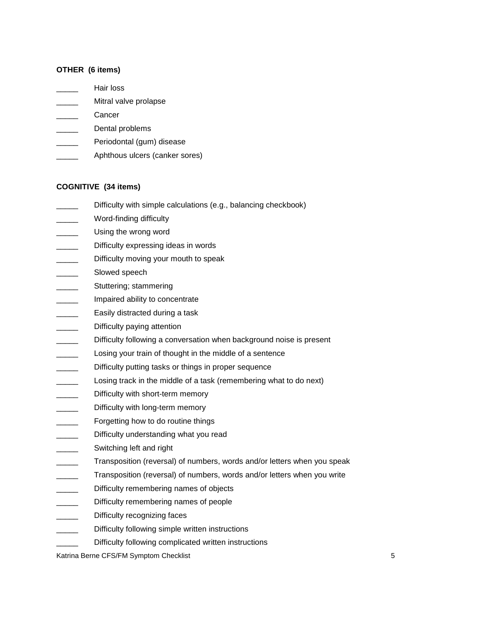### **OTHER (6 items)**

- \_\_\_\_\_ Hair loss
- Mitral valve prolapse
- \_\_\_\_\_ Cancer
- \_\_\_\_\_\_\_ Dental problems
- Periodontal (gum) disease
- Aphthous ulcers (canker sores)

## **COGNITIVE (34 items)**

- Difficulty with simple calculations (e.g., balancing checkbook)
- Word-finding difficulty
- Using the wrong word
- Difficulty expressing ideas in words
- Difficulty moving your mouth to speak
- Slowed speech
- Stuttering; stammering
- Impaired ability to concentrate
- Easily distracted during a task
- \_\_\_\_\_\_\_\_ Difficulty paying attention
- Difficulty following a conversation when background noise is present
- Losing your train of thought in the middle of a sentence
- Difficulty putting tasks or things in proper sequence
- Losing track in the middle of a task (remembering what to do next)
- Difficulty with short-term memory
- Difficulty with long-term memory
- Forgetting how to do routine things
- Difficulty understanding what you read
- Switching left and right
- Transposition (reversal) of numbers, words and/or letters when you speak
- Transposition (reversal) of numbers, words and/or letters when you write
- Difficulty remembering names of objects
- Difficulty remembering names of people
- Difficulty recognizing faces
- Difficulty following simple written instructions
	- Difficulty following complicated written instructions

Katrina Berne CFS/FM Symptom Checklist 5